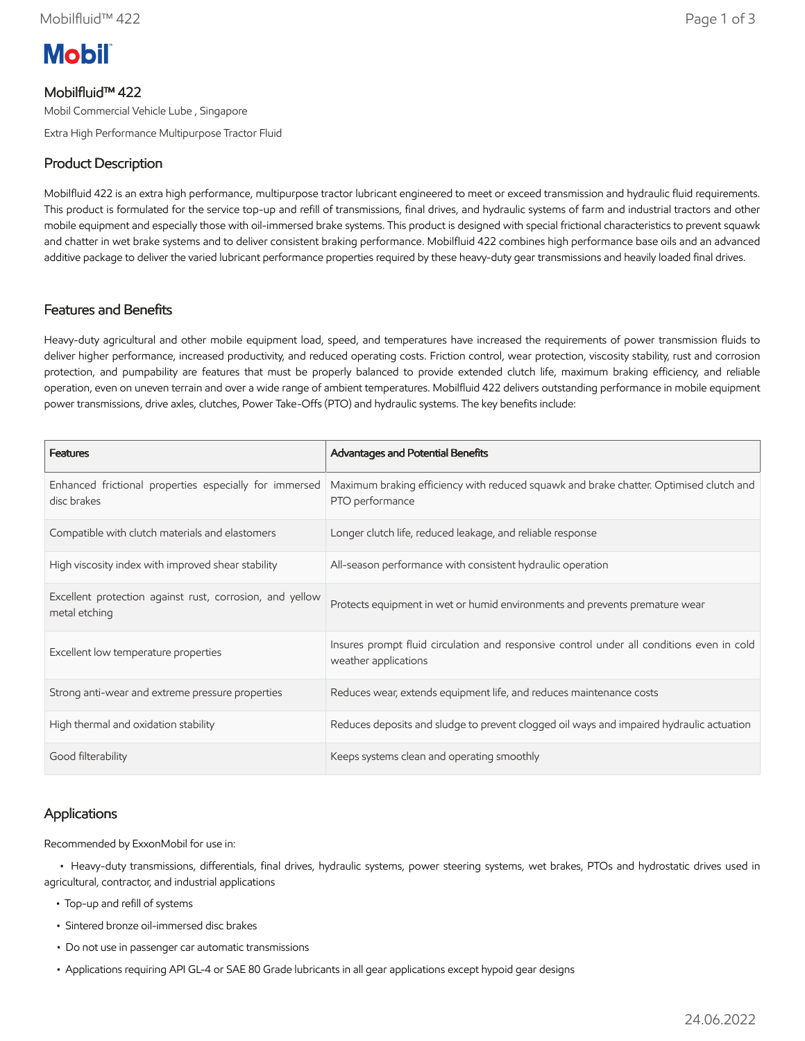

# Mobilfluid™ 422

Mobil Commercial Vehicle Lube , Singapore

Extra High Performance Multipurpose Tractor Fluid

# Product Description

Mobilfluid 422 is an extra high performance, multipurpose tractor lubricant engineered to meet or exceed transmission and hydraulic fluid requirements. This product is formulated for the service top-up and refill of transmissions, final drives, and hydraulic systems of farm and industrial tractors and other mobile equipment and especially those with oil-immersed brake systems. This product is designed with special frictional characteristics to prevent squawk and chatter in wet brake systems and to deliver consistent braking performance. Mobilfluid 422 combines high performance base oils and an advanced additive package to deliver the varied lubricant performance properties required by these heavy-duty gear transmissions and heavily loaded final drives.

### Features and Benefits

Heavy-duty agricultural and other mobile equipment load, speed, and temperatures have increased the requirements of power transmission fluids to deliver higher performance, increased productivity, and reduced operating costs. Friction control, wear protection, viscosity stability, rust and corrosion protection, and pumpability are features that must be properly balanced to provide extended clutch life, maximum braking efficiency, and reliable operation, even on uneven terrain and over a wide range of ambient temperatures. Mobilfluid 422 delivers outstanding performance in mobile equipment power transmissions, drive axles, clutches, Power Take-Offs (PTO) and hydraulic systems. The key benefits include:

| <b>Features</b>                                                           | Advantages and Potential Benefits                                                                                 |
|---------------------------------------------------------------------------|-------------------------------------------------------------------------------------------------------------------|
| Enhanced frictional properties especially for immersed<br>disc brakes     | Maximum braking efficiency with reduced squawk and brake chatter. Optimised clutch and<br>PTO performance         |
| Compatible with clutch materials and elastomers                           | Longer clutch life, reduced leakage, and reliable response                                                        |
| High viscosity index with improved shear stability                        | All-season performance with consistent hydraulic operation                                                        |
| Excellent protection against rust, corrosion, and yellow<br>metal etching | Protects equipment in wet or humid environments and prevents premature wear                                       |
| Excellent low temperature properties                                      | Insures prompt fluid circulation and responsive control under all conditions even in cold<br>weather applications |
| Strong anti-wear and extreme pressure properties                          | Reduces wear, extends equipment life, and reduces maintenance costs                                               |
| High thermal and oxidation stability                                      | Reduces deposits and sludge to prevent clogged oil ways and impaired hydraulic actuation                          |
| Good filterability                                                        | Keeps systems clean and operating smoothly                                                                        |

## Applications

Recommended by ExxonMobil for use in:

 • Heavy-duty transmissions, differentials, final drives, hydraulic systems, power steering systems, wet brakes, PTOs and hydrostatic drives used in agricultural, contractor, and industrial applications

- Top-up and refill of systems
- Sintered bronze oil-immersed disc brakes
- Do not use in passenger car automatic transmissions
- Applications requiring API GL-4 or SAE 80 Grade lubricants in all gear applications except hypoid gear designs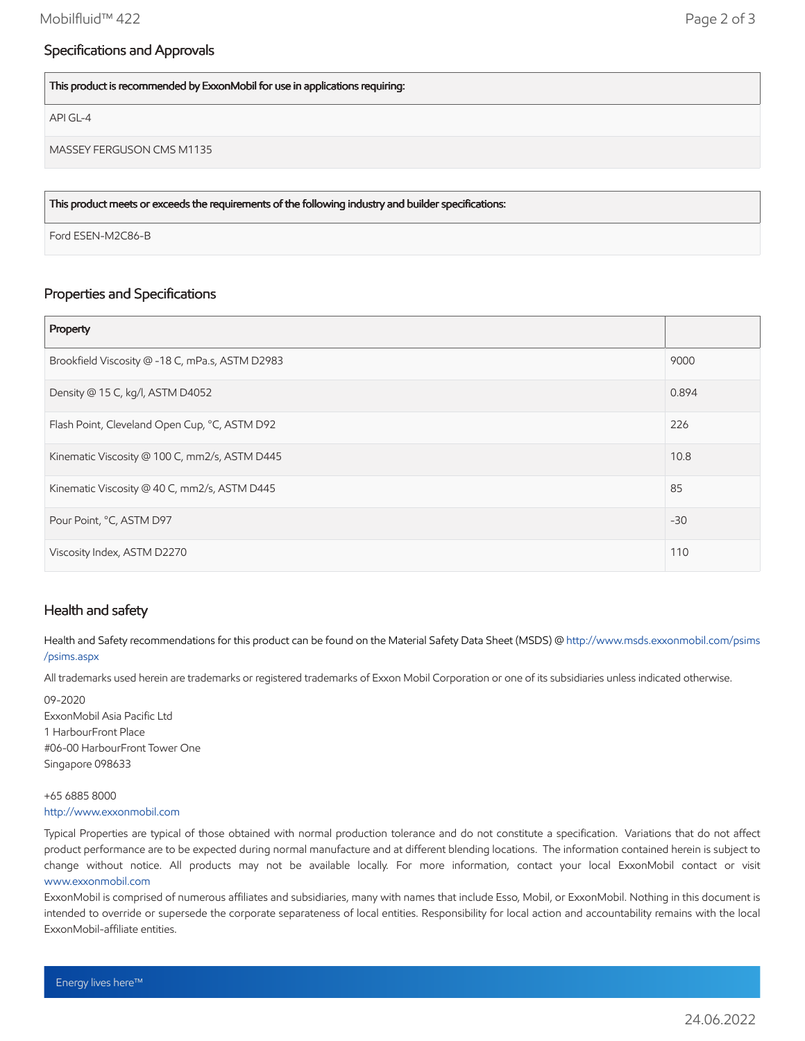## Specifications and Approvals

This product is recommended by ExxonMobil for use in applications requiring:

API GL-4

MASSEY FERGUSON CMS M1135

This product meets or exceeds the requirements of the following industry and builder specifications:

Ford ESEN-M2C86-B

## Properties and Specifications

| Property                                        |       |
|-------------------------------------------------|-------|
| Brookfield Viscosity @ -18 C, mPa.s, ASTM D2983 | 9000  |
| Density @ 15 C, kg/l, ASTM D4052                | 0.894 |
| Flash Point, Cleveland Open Cup, °C, ASTM D92   | 226   |
| Kinematic Viscosity @ 100 C, mm2/s, ASTM D445   | 10.8  |
| Kinematic Viscosity @ 40 C, mm2/s, ASTM D445    | 85    |
| Pour Point, °C, ASTM D97                        | $-30$ |
| Viscosity Index, ASTM D2270                     | 110   |

### Health and safety

Health and Safety recommendations for this product can be found on the Material Safety Data Sheet (MSDS) @ [http://www.msds.exxonmobil.com/psims](http://www.msds.exxonmobil.com/psims/psims.aspx) /psims.aspx

All trademarks used herein are trademarks or registered trademarks of Exxon Mobil Corporation or one of its subsidiaries unless indicated otherwise.

09-2020 ExxonMobil Asia Pacific Ltd 1 HarbourFront Place #06-00 HarbourFront Tower One Singapore 098633

#### +65 6885 8000 [http://www.exxonmobil.com](http://www.exxonmobil.com/)

Typical Properties are typical of those obtained with normal production tolerance and do not constitute a specification. Variations that do not affect product performance are to be expected during normal manufacture and at different blending locations. The information contained herein is subject to change without notice. All products may not be available locally. For more information, contact your local ExxonMobil contact or visit [www.exxonmobil.com](http://www.exxonmobil.com/)

ExxonMobil is comprised of numerous affiliates and subsidiaries, many with names that include Esso, Mobil, or ExxonMobil. Nothing in this document is intended to override or supersede the corporate separateness of local entities. Responsibility for local action and accountability remains with the local ExxonMobil-affiliate entities.